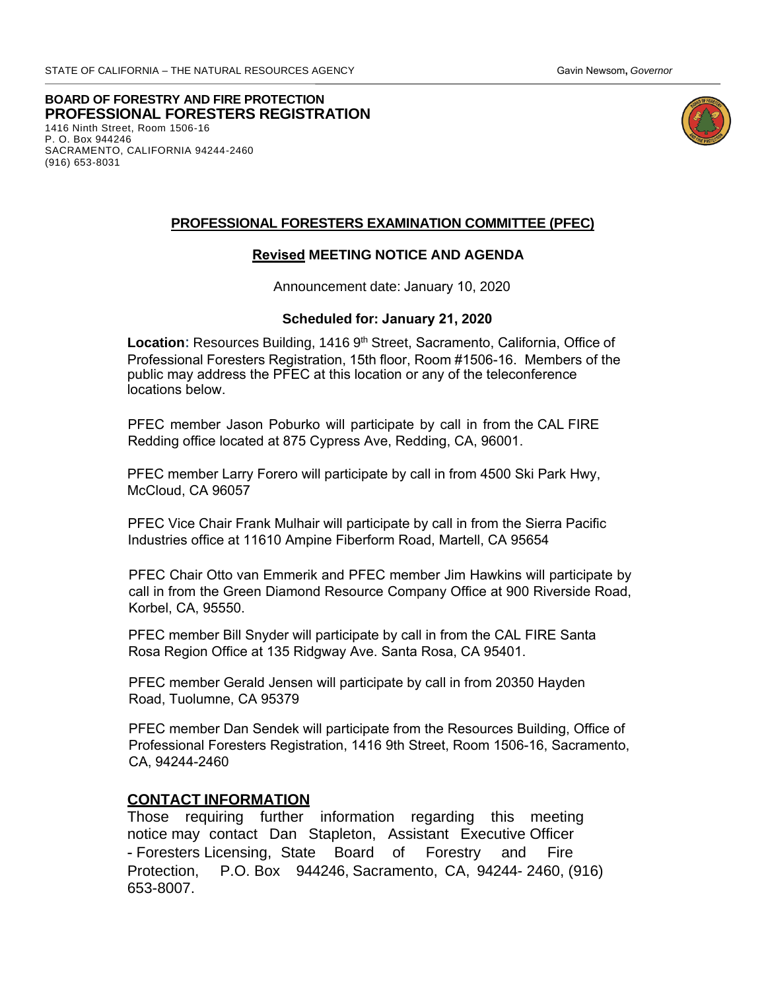**BOARD OF FORESTRY AND FIRE PROTECTION**  1416 Ninth Street, Room 1506-16 P. O. Box 944246 SACRAMENTO, CALIFORNIA 94244-2460 (916) 653-8031 **PROFESSIONAL FORESTERS REGISTRATION** 



#### **PROFESSIONAL FORESTERS EXAMINATION COMMITTEE (PFEC)**

## **Revised MEETING NOTICE AND AGENDA**

Announcement date: January 10, 2020

#### **Scheduled for: January 21, 2020**

Location: Resources Building, 1416 9<sup>th</sup> Street, Sacramento, California, Office of Professional Foresters Registration, 15th floor, Room #1506-16. Members of the public may address the PFEC at this location or any of the teleconference locations below.

 PFEC member Jason Poburko will participate by call in from the CAL FIRE Redding office located at 875 Cypress Ave, Redding, CA, 96001.

PFEC member Larry Forero will participate by call in from 4500 Ski Park Hwy, McCloud, CA 96057

PFEC Vice Chair Frank Mulhair will participate by call in from the Sierra Pacific Industries office at 11610 Ampine Fiberform Road, Martell, CA 95654

PFEC Chair Otto van Emmerik and PFEC member Jim Hawkins will participate by call in from the Green Diamond Resource Company Office at 900 Riverside Road, Korbel, CA, 95550.

PFEC member Bill Snyder will participate by call in from the CAL FIRE Santa Rosa Region Office at 135 Ridgway Ave. Santa Rosa, CA 95401.

PFEC membe[r Gerald Jensen will participat](http://www.bof.fire.ca.gov/)e by call in from 20350 Hayden Road, Tuolumne, CA 95379

PFEC member Dan Sendek will participate from the Resources Building, Office of Professional Foresters Registration, 1416 9th Street, Room 1506-16, Sacramento, CA, 94244-2460

#### **CONTACT INFORMATION**

Those requiring further information regarding this meeting notice may contact Dan Stapleton, Assistant Executive Officer - Foresters Licensing, State Board of Forestry and Fire Protection, P.O. Box 944246, Sacramento, CA, 94244- 2460, (916) 653-8007.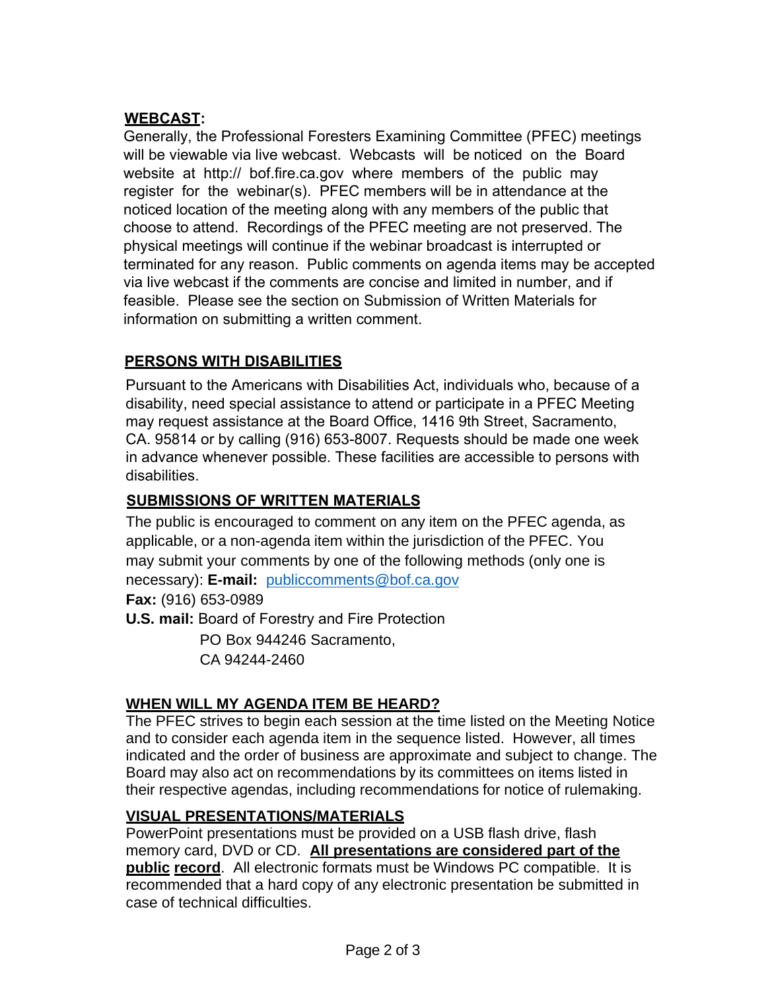# **WEBCAST:**

Generally, the Professional Foresters Examining Committee (PFEC) meetings will be vi[ewable via live webcast.](mailto:publiccomments@bof.ca.gov) Webcasts will be noticed on the Board website at http:// bof.fire.ca.gov where members of the public may register for the webinar(s). PFEC members will be in attendance at the noticed location of the meeting along with any members of the public that choose to attend. Recordings of the PFEC meeting are not preserved. The physical meetings will continue if the webinar broadcast is interrupted or terminated for any reason. Public comments on agenda items may be accepted via live webcast if the comments are concise and limited in number, and if feasible. Please see the section on Submission of Written Materials for information on submitting a written comment.

# **PERSONS WITH DISABILITIES**

Pursuant to the Americans with Disabilities Act, individuals who, because of a disability, need special assistance to attend or participate in a PFEC Meeting may request assistance at the Board Office, 1416 9th Street, Sacramento, CA. 95814 or by calling (916) 653-8007. Requests should be made one week in advance whenever possible. These facilities are accessible to persons with disabilities.

# **SUBMISSIONS OF WRITTEN MATERIALS**

The public is encouraged to comment on any item on the PFEC agenda, as applicable, or a non-agenda item within the jurisdiction of the PFEC. You may submit your comments by one of the following methods (only one is necessary): **E-mail:** publiccomments@bof.ca.gov **Fax:** (916) 653-0989 **U.S. mail:** Board of Forestry and Fire Protection

PO Box 944246 Sacramento, CA 94244-2460

# **WHEN WILL MY AGENDA ITEM BE HEARD?**

The PFEC strives to begin each session at the time listed on the Meeting Notice and to consider each agenda item in the sequence listed. However, all times indicated and the order of business are approximate and subject to change. The Board may also act on recommendations by its committees on items listed in their respective agendas, including recommendations for notice of rulemaking.

## **VISUAL PRESENTATIONS/MATERIALS**

PowerPoint presentations must be provided on a USB flash drive, flash memory card, DVD or CD. **All presentations are considered part of the public record**. All electronic formats must be Windows PC compatible. It is recommended that a hard copy of any electronic presentation be submitted in case of technical difficulties.